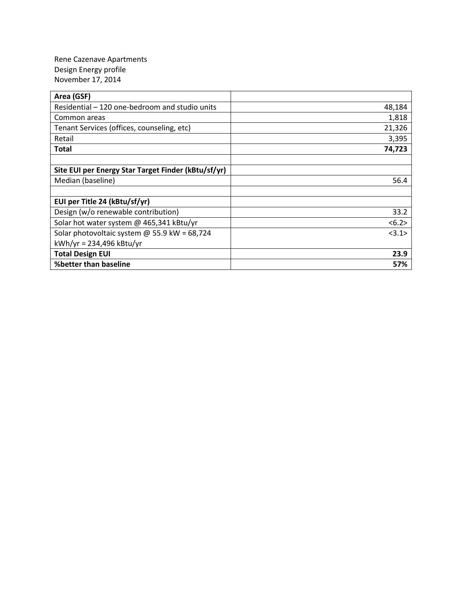Rene Cazenave Apartments Design Energy profile November 17, 2014

| Area (GSF)                                          |        |
|-----------------------------------------------------|--------|
| Residential – 120 one-bedroom and studio units      | 48,184 |
| Common areas                                        | 1,818  |
| Tenant Services (offices, counseling, etc)          | 21,326 |
| Retail                                              | 3,395  |
| <b>Total</b>                                        | 74,723 |
|                                                     |        |
| Site EUI per Energy Star Target Finder (kBtu/sf/yr) |        |
| Median (baseline)                                   | 56.4   |
|                                                     |        |
| EUI per Title 24 (kBtu/sf/yr)                       |        |
| Design (w/o renewable contribution)                 | 33.2   |
| Solar hot water system @ 465,341 kBtu/yr            | < 6.2> |
| Solar photovoltaic system $@$ 55.9 kW = 68,724      | <3.1>  |
| $kWh/yr = 234,496 kBtu/yr$                          |        |
| <b>Total Design EUI</b>                             | 23.9   |
| %better than baseline                               | 57%    |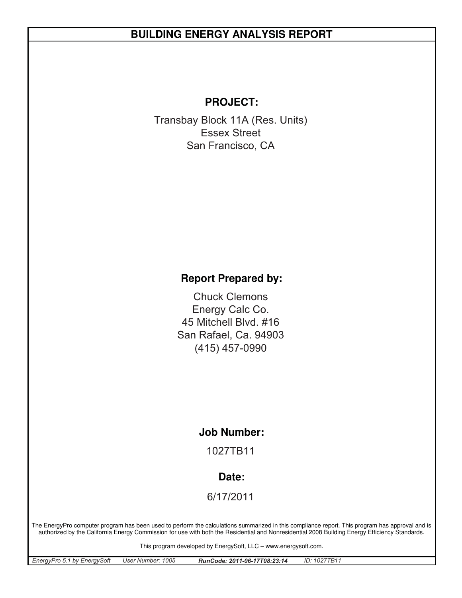# **BUILDING ENERGY ANALYSIS REPORT**

## **PROJECT:**

Transbay Block 11A (Res. Units) San Francisco, CA Essex Street

## **Report Prepared by:**

San Rafael, Ca. 94903 Chuck Clemons 45 Mitchell Blvd. #16 (415) 457-0990 Energy Calc Co.

#### **Job Number:**

1027TB11

#### **Date:**

6/17/2011

The EnergyPro computer program has been used to perform the calculations summarized in this compliance report. This program has approval and is authorized by the California Energy Commission for use with both the Residential and Nonresidential 2008 Building Energy Efficiency Standards.

This program developed by EnergySoft, LLC – www.energysoft.com.

| EnergyPro 5.1 by EnergySoft | User Number: 1005 | RunCode: 2011-06-17T08:23:14 | ID: 1027TB11 |
|-----------------------------|-------------------|------------------------------|--------------|
|                             |                   |                              |              |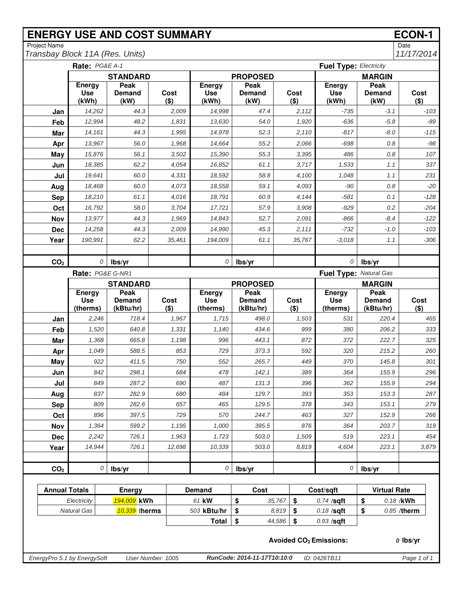# **ENERGY USE AND COST SUMMARY ECON-1**<br>
Project Name Date

Project Name<br>
Transbay Block 11A (Res. Units) 11/17/2014 *Transbay Block 11A (Res. Units)* 

|                             | Rate: PG&E A-1<br><b>Fuel Type: Electricity</b> |                         |                   |                                      |                               |        |                        |                                          |                              |                 |
|-----------------------------|-------------------------------------------------|-------------------------|-------------------|--------------------------------------|-------------------------------|--------|------------------------|------------------------------------------|------------------------------|-----------------|
|                             |                                                 | <b>STANDARD</b>         |                   |                                      | <b>PROPOSED</b>               |        |                        |                                          | <b>MARGIN</b>                |                 |
|                             | <b>Energy</b><br><b>Use</b><br>(kWh)            | Peak<br>Demand<br>(kW)  | Cost<br>$($ \$)   | <b>Energy</b><br><b>Use</b><br>(kWh) | Peak<br><b>Demand</b><br>(kW) |        | Cost<br>$($ \$)        | <b>Energy</b><br><b>Use</b><br>(kWh)     | Peak<br>Demand<br>(kW)       | Cost<br>$($ \$) |
| Jan                         | 14,262                                          | 44.3                    | 2,009             | 14.998                               | 47.4                          |        | 2,112                  | $-735$                                   | $-3.1$                       | $-103$          |
| Feb                         | 12,994                                          | 48.2                    | 1,831             | 13,630                               | 54.0                          |        | 1,920                  | $-636$                                   | $-5.8$                       | $-89$           |
| Mar                         | 14,161                                          | 44.3                    | 1,995             | 14,978                               | 52.3                          |        | 2,110                  | $-817$                                   | $-8.0$                       | $-115$          |
| Apr                         | 13,967                                          | 56.0                    | 1,968             | 14,664                               | 55.2                          |        | 2,066                  | $-698$                                   | 0.8                          | $-98$           |
| May                         | 15,876                                          | 56.1                    | 3,502             | 15,390                               | 55.3                          |        | 3,395                  | 486                                      | 0.8                          | 107             |
| Jun                         | 18,385                                          | 62.2                    | 4,054             | 16,852                               | 61.1                          |        | 3,717                  | 1,533                                    | 1.1                          | 337             |
| Jul                         | 19,641                                          | 60.0                    | 4,331             | 18,592                               | 58.8                          |        | 4,100                  | 1,048                                    | 1.1                          | 231             |
| Aug                         | 18,468                                          | 60.0                    | 4,073             | 18,558                               | 59.1                          |        | 4,093                  | $-90$                                    | 0.8                          | $-20$           |
| <b>Sep</b>                  | 18,210                                          | 61.1                    | 4,016             | 18,791                               | 60.9                          |        | 4,144                  | $-581$                                   | 0.1                          | $-128$          |
| Oct                         | 16,792                                          | 58.0                    | 3,704             | 17,721                               | 57.9                          |        | 3,908                  | $-929$                                   | 0.2                          | $-204$          |
| Nov                         | 13,977                                          | 44.3                    | 1,969             | 14,843                               | 52.7                          |        | 2,091                  | -866                                     | $-8.4$                       | $-122$          |
| <b>Dec</b>                  | 14,258                                          | 44.3                    | 2.009             | 14.990                               | 45.3                          |        | 2,111                  | $-732$                                   | $-1.0$                       | $-103$          |
| Year                        | 190,991                                         | 62.2                    | 35,461            | 194,009                              | 61.1                          |        | 35,767                 | $-3,018$                                 | 1.1                          | $-306$          |
|                             |                                                 |                         |                   |                                      |                               |        |                        |                                          |                              |                 |
| CO <sub>2</sub>             | 0                                               | lbs/yr                  |                   | 0                                    | lbs/yr                        |        |                        | 0                                        | lbs/yr                       |                 |
|                             | Rate: PG&E G-NR1                                |                         |                   |                                      |                               |        | Fuel Type: Natural Gas |                                          |                              |                 |
|                             | Energy                                          | <b>STANDARD</b><br>Peak |                   | Energy                               | <b>PROPOSED</b><br>Peak       |        |                        | Energy                                   | <b>MARGIN</b><br><b>Peak</b> |                 |
|                             | <b>Use</b>                                      | Demand                  | Cost              | <b>Use</b>                           | Demand                        |        | Cost                   | <b>Use</b>                               | <b>Demand</b>                | Cost            |
|                             | (therms)                                        | (kBtu/hr)               | $($ \$)           | (therms)                             | (kBtu/hr)                     |        | $($ \$)                | (therms)                                 | (kBtu/hr)                    | $($ \$)         |
| Jan                         | 2,246                                           | 718.4                   | 1,967             | 1,715                                | 498.0                         |        | 1,503                  | 531                                      | 220.4                        | 465             |
| Feb                         | 1,520                                           | 640.8                   | 1,331             | 1,140                                | 434.6                         |        | 999                    | 380                                      | 206.2                        | 333             |
| Mar                         | 1,368                                           | 665.8                   | 1,198             | 996                                  | 443.1                         |        | 872                    | 372                                      | 222.7                        | 325             |
| Apr                         | 1,049                                           | 588.5                   | 853               | 729                                  | 373.3                         |        | 592                    | 320                                      | 215.2                        | 260             |
| May                         | 922                                             | 411.5                   | 750               | 552                                  | 265.7                         |        | 449                    | 370                                      | 145.8                        | 301             |
| Jun                         | 842                                             | 298.1                   | 684               | 478                                  | 142.1                         |        | 389                    | 364                                      | 155.9                        | 296             |
| Jul                         | 849                                             | 287.2                   | 690               | 487                                  | 131.3                         |        | 396                    | 362                                      | 155.9                        | 294             |
| Aug                         | 837                                             | 282.9                   | 680               | 484                                  | 129.7                         |        | 393                    | 353                                      | 153.3                        | 287             |
| <b>Sep</b>                  | 809                                             | 282.6                   | 657               | 465                                  | 129.5                         |        | 378                    | 343                                      | 153.1                        | 279             |
| Oct                         | 896                                             | 397.5                   | 729               | 570                                  | 244.7                         |        | 463                    | 327                                      | 152.9                        | 266             |
| Nov                         | 1,364<br>2,242                                  | 599.2<br>726.1          | 1,195<br>1,963    | 1,000<br>1,723                       | 395.5<br>503.0                |        | 876<br>1,509           | 364<br>519                               | 203.7<br>223.1               | 319<br>454      |
| <b>Dec</b><br>Year          | 14,944                                          | 726.1                   | 12,698            | 10,339                               | 503.0                         |        | 8,819                  | 4,604                                    | 223.1                        | 3,879           |
|                             |                                                 |                         |                   |                                      |                               |        |                        |                                          |                              |                 |
| CO <sub>2</sub>             | 0                                               | lbs/yr                  |                   | 0                                    | lbs/yr                        |        |                        | $\overline{O}$                           | lbs/yr                       |                 |
|                             |                                                 |                         |                   |                                      |                               |        |                        |                                          |                              |                 |
| <b>Annual Totals</b>        |                                                 | <b>Energy</b>           |                   | <b>Demand</b>                        | Cost                          |        |                        | Cost/sqft                                | <b>Virtual Rate</b>          |                 |
|                             | Electricity                                     | 194,009 kWh             |                   | 61 kW                                | \$                            | 35,767 | \$                     | $0.74$ /sqft                             | \$                           | 0.18 /kWh       |
|                             | <b>Natural Gas</b>                              | 10,339 therms           |                   | 503 kBtu/hr                          | \$                            | 8,819  | \$                     | $0.18$ /sqft                             | \$                           | 0.85 /therm     |
|                             |                                                 |                         |                   | <b>Total</b>                         | \$                            | 44,586 | \$                     | $0.93$ /sqft                             |                              |                 |
|                             |                                                 |                         |                   |                                      |                               |        |                        | <b>Avoided CO<sub>2</sub> Emissions:</b> |                              | $0$ lbs/yr      |
| EnergyPro 5.1 by EnergySoft |                                                 |                         | User Number: 1005 |                                      | RunCode: 2014-11-17T10:10:0   |        |                        | ID: 0426TB11                             |                              | Page 1 of 1     |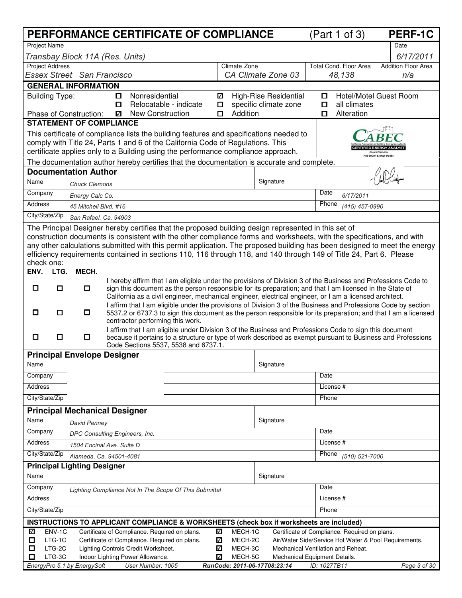|                                                                                                                                                                                                            | PERFORMANCE CERTIFICATE OF COMPLIANCE                                                                                                                                                                                          |                                                           | (Part 1 of 3)                                                                                          | <b>PERF-1C</b>                |  |  |  |  |
|------------------------------------------------------------------------------------------------------------------------------------------------------------------------------------------------------------|--------------------------------------------------------------------------------------------------------------------------------------------------------------------------------------------------------------------------------|-----------------------------------------------------------|--------------------------------------------------------------------------------------------------------|-------------------------------|--|--|--|--|
| <b>Project Name</b>                                                                                                                                                                                        |                                                                                                                                                                                                                                |                                                           |                                                                                                        | Date                          |  |  |  |  |
| Transbay Block 11A (Res. Units)                                                                                                                                                                            |                                                                                                                                                                                                                                |                                                           |                                                                                                        | 6/17/2011                     |  |  |  |  |
| <b>Project Address</b>                                                                                                                                                                                     |                                                                                                                                                                                                                                | Climate Zone                                              | Total Cond. Floor Area                                                                                 | <b>Addition Floor Area</b>    |  |  |  |  |
| Essex Street San Francisco                                                                                                                                                                                 |                                                                                                                                                                                                                                | CA Climate Zone 03                                        | 48,138                                                                                                 | n/a                           |  |  |  |  |
| <b>GENERAL INFORMATION</b>                                                                                                                                                                                 |                                                                                                                                                                                                                                |                                                           |                                                                                                        |                               |  |  |  |  |
| <b>Building Type:</b>                                                                                                                                                                                      | Nonresidential<br>□<br>Relocatable - indicate<br>O                                                                                                                                                                             | High-Rise Residential<br>✓<br>specific climate zone<br>О. | О<br>all climates<br>O                                                                                 | <b>Hotel/Motel Guest Room</b> |  |  |  |  |
| Phase of Construction:                                                                                                                                                                                     | <b>New Construction</b><br>✓                                                                                                                                                                                                   | Addition<br>о                                             | $\Box$<br>Alteration                                                                                   |                               |  |  |  |  |
| <b>STATEMENT OF COMPLIANCE</b>                                                                                                                                                                             |                                                                                                                                                                                                                                |                                                           |                                                                                                        |                               |  |  |  |  |
|                                                                                                                                                                                                            | This certificate of compliance lists the building features and specifications needed to                                                                                                                                        |                                                           |                                                                                                        |                               |  |  |  |  |
|                                                                                                                                                                                                            | comply with Title 24, Parts 1 and 6 of the California Code of Regulations. This                                                                                                                                                |                                                           |                                                                                                        |                               |  |  |  |  |
| certificate applies only to a Building using the performance compliance approach.<br>R08-90-211 & NR08-90-55<br>The documentation author hereby certifies that the documentation is accurate and complete. |                                                                                                                                                                                                                                |                                                           |                                                                                                        |                               |  |  |  |  |
| <b>Documentation Author</b>                                                                                                                                                                                |                                                                                                                                                                                                                                |                                                           |                                                                                                        |                               |  |  |  |  |
| Name                                                                                                                                                                                                       |                                                                                                                                                                                                                                | Signature                                                 |                                                                                                        |                               |  |  |  |  |
| <b>Chuck Clemons</b><br>Company                                                                                                                                                                            |                                                                                                                                                                                                                                |                                                           | Date                                                                                                   |                               |  |  |  |  |
| Energy Calc Co.<br>Address                                                                                                                                                                                 |                                                                                                                                                                                                                                |                                                           | 6/17/2011<br>Phone                                                                                     |                               |  |  |  |  |
| 45 Mitchell Blvd. #16<br>City/State/Zip                                                                                                                                                                    |                                                                                                                                                                                                                                |                                                           | (415) 457-0990                                                                                         |                               |  |  |  |  |
| San Rafael, Ca. 94903                                                                                                                                                                                      |                                                                                                                                                                                                                                |                                                           |                                                                                                        |                               |  |  |  |  |
|                                                                                                                                                                                                            | The Principal Designer hereby certifies that the proposed building design represented in this set of<br>construction documents is consistent with the other compliance forms and worksheets, with the specifications, and with |                                                           |                                                                                                        |                               |  |  |  |  |
|                                                                                                                                                                                                            | any other calculations submitted with this permit application. The proposed building has been designed to meet the energy                                                                                                      |                                                           |                                                                                                        |                               |  |  |  |  |
|                                                                                                                                                                                                            | efficiency requirements contained in sections 110, 116 through 118, and 140 through 149 of Title 24, Part 6. Please                                                                                                            |                                                           |                                                                                                        |                               |  |  |  |  |
| check one:                                                                                                                                                                                                 |                                                                                                                                                                                                                                |                                                           |                                                                                                        |                               |  |  |  |  |
| ENV.<br>MECH.<br>LTG.                                                                                                                                                                                      |                                                                                                                                                                                                                                |                                                           |                                                                                                        |                               |  |  |  |  |
| ◘<br>□<br>$\Box$                                                                                                                                                                                           | I hereby affirm that I am eligible under the provisions of Division 3 of the Business and Professions Code to<br>sign this document as the person responsible for its preparation; and that I am licensed in the State of      |                                                           |                                                                                                        |                               |  |  |  |  |
|                                                                                                                                                                                                            | California as a civil engineer, mechanical engineer, electrical engineer, or I am a licensed architect.                                                                                                                        |                                                           |                                                                                                        |                               |  |  |  |  |
| О<br>$\Box$<br>O                                                                                                                                                                                           | I affirm that I am eligible under the provisions of Division 3 of the Business and Professions Code by section                                                                                                                 |                                                           |                                                                                                        |                               |  |  |  |  |
|                                                                                                                                                                                                            | 5537.2 or 6737.3 to sign this document as the person responsible for its preparation; and that I am a licensed<br>contractor performing this work.                                                                             |                                                           |                                                                                                        |                               |  |  |  |  |
|                                                                                                                                                                                                            | I affirm that I am eligible under Division 3 of the Business and Professions Code to sign this document                                                                                                                        |                                                           |                                                                                                        |                               |  |  |  |  |
| $\Box$<br>◻<br>0                                                                                                                                                                                           | because it pertains to a structure or type of work described as exempt pursuant to Business and Professions<br>Code Sections 5537, 5538 and 6737.1.                                                                            |                                                           |                                                                                                        |                               |  |  |  |  |
| <b>Principal Envelope Designer</b>                                                                                                                                                                         |                                                                                                                                                                                                                                |                                                           |                                                                                                        |                               |  |  |  |  |
| Name                                                                                                                                                                                                       |                                                                                                                                                                                                                                | Signature                                                 |                                                                                                        |                               |  |  |  |  |
| Company                                                                                                                                                                                                    |                                                                                                                                                                                                                                |                                                           | Date                                                                                                   |                               |  |  |  |  |
| Address                                                                                                                                                                                                    |                                                                                                                                                                                                                                |                                                           | License #                                                                                              |                               |  |  |  |  |
| City/State/Zip                                                                                                                                                                                             |                                                                                                                                                                                                                                |                                                           | Phone                                                                                                  |                               |  |  |  |  |
| <b>Principal Mechanical Designer</b>                                                                                                                                                                       |                                                                                                                                                                                                                                |                                                           |                                                                                                        |                               |  |  |  |  |
| Name                                                                                                                                                                                                       |                                                                                                                                                                                                                                | Signature                                                 |                                                                                                        |                               |  |  |  |  |
| David Penney<br>Company                                                                                                                                                                                    |                                                                                                                                                                                                                                |                                                           | Date                                                                                                   |                               |  |  |  |  |
| DPC Consulting Engineers, Inc.<br>Address                                                                                                                                                                  |                                                                                                                                                                                                                                |                                                           | License #                                                                                              |                               |  |  |  |  |
| 1504 Encinal Ave. Suite D<br>City/State/Zip                                                                                                                                                                |                                                                                                                                                                                                                                |                                                           | Phone                                                                                                  |                               |  |  |  |  |
| Alameda, Ca. 94501-4081                                                                                                                                                                                    |                                                                                                                                                                                                                                |                                                           | (510) 521-7000                                                                                         |                               |  |  |  |  |
| <b>Principal Lighting Designer</b><br>Name                                                                                                                                                                 |                                                                                                                                                                                                                                | Signature                                                 |                                                                                                        |                               |  |  |  |  |
|                                                                                                                                                                                                            |                                                                                                                                                                                                                                |                                                           |                                                                                                        |                               |  |  |  |  |
| Company<br>Address                                                                                                                                                                                         | Lighting Compliance Not In The Scope Of This Submittal                                                                                                                                                                         |                                                           | Date<br>License #                                                                                      |                               |  |  |  |  |
|                                                                                                                                                                                                            |                                                                                                                                                                                                                                |                                                           |                                                                                                        |                               |  |  |  |  |
| City/State/Zip                                                                                                                                                                                             |                                                                                                                                                                                                                                |                                                           | Phone                                                                                                  |                               |  |  |  |  |
|                                                                                                                                                                                                            | INSTRUCTIONS TO APPLICANT COMPLIANCE & WORKSHEETS (check box if worksheets are included)                                                                                                                                       |                                                           |                                                                                                        |                               |  |  |  |  |
| ENV-1C<br>☑<br>LTG-1C<br>0                                                                                                                                                                                 | Certificate of Compliance. Required on plans.<br>Certificate of Compliance. Required on plans.<br>√                                                                                                                            | ✓<br>MECH-1C<br>MECH-2C                                   | Certificate of Compliance. Required on plans.<br>Air/Water Side/Service Hot Water & Pool Requirements. |                               |  |  |  |  |
| ◻<br>LTG-2C                                                                                                                                                                                                | Lighting Controls Credit Worksheet.<br>☑                                                                                                                                                                                       | MECH-3C                                                   | Mechanical Ventilation and Reheat.                                                                     |                               |  |  |  |  |
| LTG-3C<br>□                                                                                                                                                                                                | Indoor Lighting Power Allowance.<br>√                                                                                                                                                                                          | MECH-5C                                                   | Mechanical Equipment Details.                                                                          |                               |  |  |  |  |
| EnergyPro 5.1 by EnergySoft                                                                                                                                                                                | User Number: 1005                                                                                                                                                                                                              | RunCode: 2011-06-17T08:23:14                              | ID: 1027TB11                                                                                           | Page 3 of 30                  |  |  |  |  |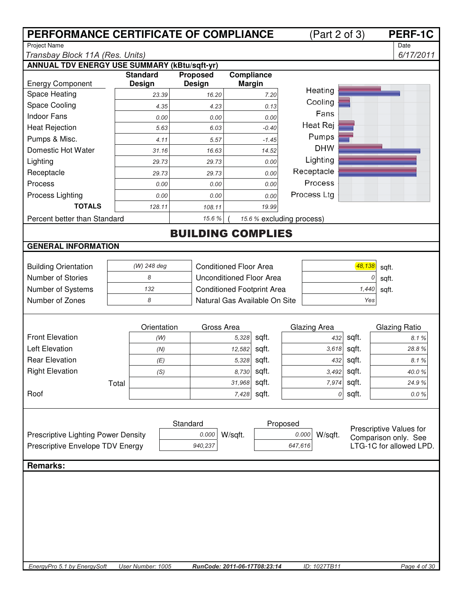|                                                                                        | PERFORMANCE CERTIFICATE OF COMPLIANCE |                                              |          |                                   |               |                           |          | (Part 2 of 3)    |           | <b>PERF-1C</b>          |
|----------------------------------------------------------------------------------------|---------------------------------------|----------------------------------------------|----------|-----------------------------------|---------------|---------------------------|----------|------------------|-----------|-------------------------|
| <b>Project Name</b>                                                                    |                                       |                                              |          |                                   |               |                           |          |                  |           | Date                    |
| Transbay Block 11A (Res. Units)<br><b>ANNUAL TDV ENERGY USE SUMMARY (kBtu/sqft-yr)</b> |                                       |                                              |          |                                   |               |                           |          |                  |           | 6/17/2011               |
|                                                                                        |                                       | <b>Standard</b>                              |          | <b>Proposed</b>                   | Compliance    |                           |          |                  |           |                         |
| <b>Energy Component</b>                                                                |                                       | <b>Design</b>                                |          | <b>Design</b>                     | <b>Margin</b> |                           |          |                  |           |                         |
| Space Heating                                                                          |                                       | 23.39                                        |          | 16.20                             |               |                           |          | Heating          |           |                         |
| Space Cooling                                                                          |                                       | 4.35                                         |          | 4.23                              |               | 0.13                      |          | Cooling          |           |                         |
| <b>Indoor Fans</b>                                                                     |                                       | 0.00                                         |          | 0.00                              |               | 0.00                      |          | Fans             |           |                         |
| <b>Heat Rejection</b>                                                                  |                                       | 5.63                                         |          | 6.03                              |               | $-0.40$                   |          | Heat Rej         |           |                         |
| Pumps & Misc.                                                                          |                                       | 4.11                                         |          | 5.57                              |               | $-1.45$                   |          | Pumps            |           |                         |
| Domestic Hot Water                                                                     |                                       | 31.16                                        |          | 16.63                             |               | 14.52                     |          | <b>DHW</b>       |           |                         |
| Lighting                                                                               |                                       | 29.73                                        |          | 29.73                             |               | 0.00                      |          | Lighting         |           |                         |
| Receptacle                                                                             |                                       | 29.73                                        |          | 29.73                             |               | 0.00                      |          | Receptacle       |           |                         |
| Process                                                                                |                                       | 0.00                                         |          | 0.00                              |               | 0.00                      |          | Process          |           |                         |
| Process Lighting                                                                       |                                       | 0.00                                         |          | 0.00                              |               | 0.00                      |          | Process Ltg      |           |                         |
| <b>TOTALS</b>                                                                          |                                       | 128.11                                       |          | 108.11                            |               | 19.99                     |          |                  |           |                         |
| Percent better than Standard                                                           |                                       |                                              |          | 15.6%                             |               | 15.6 % excluding process) |          |                  |           |                         |
|                                                                                        |                                       |                                              |          | <b>BUILDING COMPLIES</b>          |               |                           |          |                  |           |                         |
| <b>GENERAL INFORMATION</b>                                                             |                                       |                                              |          |                                   |               |                           |          |                  |           |                         |
|                                                                                        |                                       |                                              |          |                                   |               |                           |          |                  |           |                         |
| <b>Building Orientation</b>                                                            |                                       | (W) 248 deg<br><b>Conditioned Floor Area</b> |          |                                   |               |                           |          |                  | 48,138    | sqft.                   |
| Number of Stories                                                                      |                                       | 8                                            |          | <b>Unconditioned Floor Area</b>   |               |                           |          |                  | 0         | sqft.                   |
| Number of Systems                                                                      |                                       | 132                                          |          | <b>Conditioned Footprint Area</b> |               |                           |          |                  | 1,440     | sqft.                   |
| Number of Zones                                                                        |                                       | 8                                            |          | Natural Gas Available On Site     |               |                           |          |                  | Yes       |                         |
|                                                                                        |                                       |                                              |          |                                   |               |                           |          |                  |           |                         |
|                                                                                        |                                       | Orientation                                  |          | Gross Area                        |               |                           |          | Glazing Area     |           | Glazing Ratio           |
| <b>Front Elevation</b>                                                                 |                                       | (W)                                          |          |                                   | 5,328         | sqft.                     |          | 432              | sqft.     | 8.1%                    |
| <b>Left Elevation</b>                                                                  |                                       | (N)                                          |          |                                   | 12,582        | sqft.                     |          | 3,618            | sqft.     | 28.8%                   |
| <b>Rear Elevation</b>                                                                  |                                       | (E)                                          |          |                                   | 5,328         | sqft.                     |          |                  | 432 sqft. | 8.1%                    |
| <b>Right Elevation</b>                                                                 |                                       | (S)                                          |          |                                   | 8,730         | sqft.                     |          | 3,492            | sqft.     | 40.0%                   |
|                                                                                        | Total                                 |                                              |          |                                   | 31,968        | sqft.                     |          | 7,974            | sqft.     | 24.9%                   |
| Roof                                                                                   |                                       |                                              |          |                                   | 7,428         | sqft.                     |          | 0                | sqft.     | $0.0 \%$                |
|                                                                                        |                                       |                                              |          |                                   |               |                           |          |                  |           |                         |
|                                                                                        |                                       |                                              |          |                                   |               |                           |          |                  |           |                         |
|                                                                                        |                                       |                                              | Standard |                                   |               |                           | Proposed |                  |           | Prescriptive Values for |
| Prescriptive Lighting Power Density                                                    |                                       |                                              |          | 0.000                             | W/sqft.       |                           |          | 0.000<br>W/sqft. |           | Comparison only. See    |
| Prescriptive Envelope TDV Energy                                                       |                                       |                                              |          | 940,237                           |               |                           | 647,616  |                  |           | LTG-1C for allowed LPD. |
| <b>Remarks:</b>                                                                        |                                       |                                              |          |                                   |               |                           |          |                  |           |                         |
|                                                                                        |                                       |                                              |          |                                   |               |                           |          |                  |           |                         |
|                                                                                        |                                       |                                              |          |                                   |               |                           |          |                  |           |                         |
|                                                                                        |                                       |                                              |          |                                   |               |                           |          |                  |           |                         |
|                                                                                        |                                       |                                              |          |                                   |               |                           |          |                  |           |                         |
|                                                                                        |                                       |                                              |          |                                   |               |                           |          |                  |           |                         |
|                                                                                        |                                       |                                              |          |                                   |               |                           |          |                  |           |                         |
|                                                                                        |                                       |                                              |          |                                   |               |                           |          |                  |           |                         |
|                                                                                        |                                       |                                              |          |                                   |               |                           |          |                  |           |                         |
| EnergyPro 5.1 by EnergySoft                                                            |                                       | User Number: 1005                            |          | RunCode: 2011-06-17T08:23:14      |               |                           |          | ID: 1027TB11     |           | Page 4 of 30            |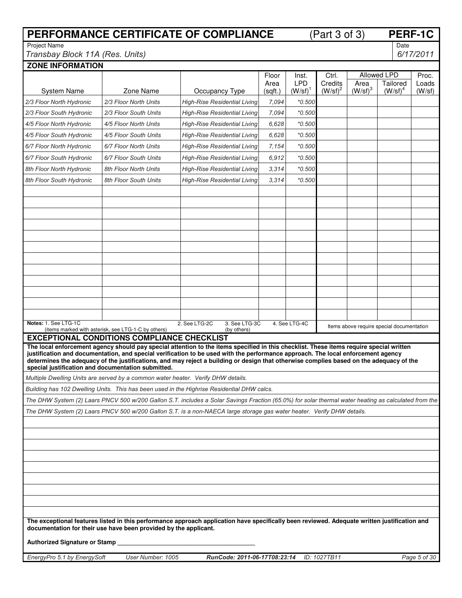| PERFORMANCE CERTIFICATE OF COMPLIANCE                                            |                                                     |                                                                                                                                                                                                                                                                                                                                                                                                                        |                 |                                 | <b>PERF-1C</b><br>(Part 3 of 3) |                           |                                           |                 |
|----------------------------------------------------------------------------------|-----------------------------------------------------|------------------------------------------------------------------------------------------------------------------------------------------------------------------------------------------------------------------------------------------------------------------------------------------------------------------------------------------------------------------------------------------------------------------------|-----------------|---------------------------------|---------------------------------|---------------------------|-------------------------------------------|-----------------|
| <b>Project Name</b>                                                              |                                                     |                                                                                                                                                                                                                                                                                                                                                                                                                        |                 |                                 |                                 |                           | Date                                      |                 |
| Transbay Block 11A (Res. Units)<br><b>ZONE INFORMATION</b>                       |                                                     |                                                                                                                                                                                                                                                                                                                                                                                                                        |                 |                                 |                                 |                           |                                           | 6/17/2011       |
|                                                                                  |                                                     |                                                                                                                                                                                                                                                                                                                                                                                                                        | Floor           | Inst.                           | Ctrl.                           |                           | Allowed LPD                               | Proc.           |
| <b>System Name</b>                                                               | Zone Name                                           | Occupancy Type                                                                                                                                                                                                                                                                                                                                                                                                         | Area<br>(sqft.) | <b>LPD</b><br>$(W/\text{sf})^1$ | Credits<br>$(W/\text{sf})^2$    | Area<br>$(W/\text{sf})^3$ | Tailored<br>$(W/\text{sf})^4$             | Loads<br>(W/sf) |
| 2/3 Floor North Hydronic                                                         | 2/3 Floor North Units                               | <b>High-Rise Residential Living</b>                                                                                                                                                                                                                                                                                                                                                                                    | 7,094           | *0.500                          |                                 |                           |                                           |                 |
| 2/3 Floor South Hydronic                                                         | 2/3 Floor South Units                               | <b>High-Rise Residential Living</b>                                                                                                                                                                                                                                                                                                                                                                                    | 7,094           | *0.500                          |                                 |                           |                                           |                 |
| 4/5 Floor North Hydronic                                                         | 4/5 Floor North Units                               | <b>High-Rise Residential Living</b>                                                                                                                                                                                                                                                                                                                                                                                    | 6,628           | *0.500                          |                                 |                           |                                           |                 |
| 4/5 Floor South Hydronic                                                         | 4/5 Floor South Units                               | High-Rise Residential Living                                                                                                                                                                                                                                                                                                                                                                                           | 6,628           | *0.500                          |                                 |                           |                                           |                 |
| 6/7 Floor North Hydronic                                                         | 6/7 Floor North Units                               | <b>High-Rise Residential Living</b>                                                                                                                                                                                                                                                                                                                                                                                    | 7.154           | *0.500                          |                                 |                           |                                           |                 |
| 6/7 Floor South Hydronic                                                         | 6/7 Floor South Units                               | High-Rise Residential Living                                                                                                                                                                                                                                                                                                                                                                                           | 6,912           | *0.500                          |                                 |                           |                                           |                 |
| 8th Floor North Hydronic                                                         | 8th Floor North Units                               | <b>High-Rise Residential Living</b>                                                                                                                                                                                                                                                                                                                                                                                    | 3,314           | *0.500                          |                                 |                           |                                           |                 |
| 8th Floor South Hydronic                                                         | 8th Floor South Units                               | <b>High-Rise Residential Living</b>                                                                                                                                                                                                                                                                                                                                                                                    | 3,314           | *0.500                          |                                 |                           |                                           |                 |
|                                                                                  |                                                     |                                                                                                                                                                                                                                                                                                                                                                                                                        |                 |                                 |                                 |                           |                                           |                 |
|                                                                                  |                                                     |                                                                                                                                                                                                                                                                                                                                                                                                                        |                 |                                 |                                 |                           |                                           |                 |
|                                                                                  |                                                     |                                                                                                                                                                                                                                                                                                                                                                                                                        |                 |                                 |                                 |                           |                                           |                 |
|                                                                                  |                                                     |                                                                                                                                                                                                                                                                                                                                                                                                                        |                 |                                 |                                 |                           |                                           |                 |
|                                                                                  |                                                     |                                                                                                                                                                                                                                                                                                                                                                                                                        |                 |                                 |                                 |                           |                                           |                 |
|                                                                                  |                                                     |                                                                                                                                                                                                                                                                                                                                                                                                                        |                 |                                 |                                 |                           |                                           |                 |
|                                                                                  |                                                     |                                                                                                                                                                                                                                                                                                                                                                                                                        |                 |                                 |                                 |                           |                                           |                 |
|                                                                                  |                                                     |                                                                                                                                                                                                                                                                                                                                                                                                                        |                 |                                 |                                 |                           |                                           |                 |
|                                                                                  |                                                     |                                                                                                                                                                                                                                                                                                                                                                                                                        |                 |                                 |                                 |                           |                                           |                 |
| Notes: 1. See LTG-1C                                                             | (items marked with asterisk, see LTG-1-C by others) | 3. See LTG-3C<br>2. See LTG-2C<br>(by others)                                                                                                                                                                                                                                                                                                                                                                          |                 | 4. See LTG-4C                   |                                 |                           | Items above require special documentation |                 |
| <b>EXCEPTIONAL CONDITIONS COMPLIANCE CHECKLIST</b>                               |                                                     |                                                                                                                                                                                                                                                                                                                                                                                                                        |                 |                                 |                                 |                           |                                           |                 |
| special justification and documentation submitted.                               |                                                     | The local enforcement agency should pay special attention to the items specified in this checklist. These items require special written<br>justification and documentation, and special verification to be used with the performance approach. The local enforcement agency<br>determines the adequacy of the justifications, and may reject a building or design that otherwise complies based on the adequacy of the |                 |                                 |                                 |                           |                                           |                 |
| Multiple Dwelling Units are served by a common water heater. Verify DHW details. |                                                     |                                                                                                                                                                                                                                                                                                                                                                                                                        |                 |                                 |                                 |                           |                                           |                 |
|                                                                                  |                                                     | Building has 102 Dwelling Units. This has been used in the Highrise Residential DHW calcs.                                                                                                                                                                                                                                                                                                                             |                 |                                 |                                 |                           |                                           |                 |
|                                                                                  |                                                     | The DHW System (2) Laars PNCV 500 w/200 Gallon S.T. includes a Solar Savings Fraction (65.0%) for solar thermal water heating as calculated from the                                                                                                                                                                                                                                                                   |                 |                                 |                                 |                           |                                           |                 |
|                                                                                  |                                                     | The DHW System (2) Laars PNCV 500 w/200 Gallon S.T. is a non-NAECA large storage gas water heater. Verify DHW details.                                                                                                                                                                                                                                                                                                 |                 |                                 |                                 |                           |                                           |                 |
|                                                                                  |                                                     |                                                                                                                                                                                                                                                                                                                                                                                                                        |                 |                                 |                                 |                           |                                           |                 |
|                                                                                  |                                                     |                                                                                                                                                                                                                                                                                                                                                                                                                        |                 |                                 |                                 |                           |                                           |                 |
|                                                                                  |                                                     |                                                                                                                                                                                                                                                                                                                                                                                                                        |                 |                                 |                                 |                           |                                           |                 |
|                                                                                  |                                                     |                                                                                                                                                                                                                                                                                                                                                                                                                        |                 |                                 |                                 |                           |                                           |                 |
|                                                                                  |                                                     |                                                                                                                                                                                                                                                                                                                                                                                                                        |                 |                                 |                                 |                           |                                           |                 |
|                                                                                  |                                                     |                                                                                                                                                                                                                                                                                                                                                                                                                        |                 |                                 |                                 |                           |                                           |                 |
|                                                                                  |                                                     |                                                                                                                                                                                                                                                                                                                                                                                                                        |                 |                                 |                                 |                           |                                           |                 |
|                                                                                  |                                                     |                                                                                                                                                                                                                                                                                                                                                                                                                        |                 |                                 |                                 |                           |                                           |                 |
| documentation for their use have been provided by the applicant.                 |                                                     | The exceptional features listed in this performance approach application have specifically been reviewed. Adequate written justification and                                                                                                                                                                                                                                                                           |                 |                                 |                                 |                           |                                           |                 |
| <b>Authorized Signature or Stamp</b>                                             |                                                     |                                                                                                                                                                                                                                                                                                                                                                                                                        |                 |                                 |                                 |                           |                                           |                 |
| EnergyPro 5.1 by EnergySoft                                                      | User Number: 1005                                   | RunCode: 2011-06-17T08:23:14                                                                                                                                                                                                                                                                                                                                                                                           |                 |                                 | ID: 1027TB11                    |                           |                                           | Page 5 of 30    |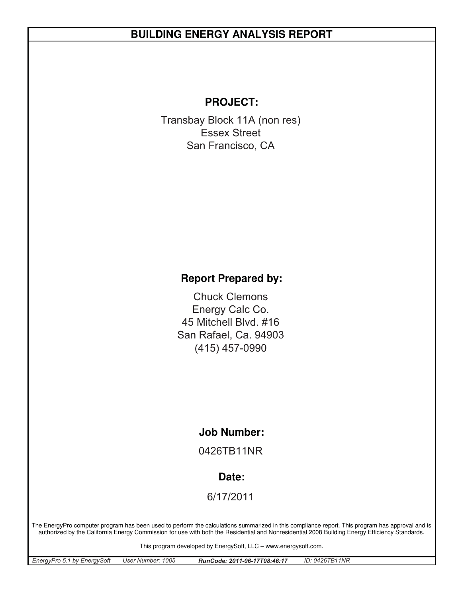# **BUILDING ENERGY ANALYSIS REPORT**

### **PROJECT:**

Transbay Block 11A (non res) San Francisco, CA Essex Street

## **Report Prepared by:**

San Rafael, Ca. 94903 Chuck Clemons 45 Mitchell Blvd. #16 (415) 457-0990 Energy Calc Co.

#### **Job Number:**

0426TB11NR

#### **Date:**

6/17/2011

The EnergyPro computer program has been used to perform the calculations summarized in this compliance report. This program has approval and is authorized by the California Energy Commission for use with both the Residential and Nonresidential 2008 Building Energy Efficiency Standards.

This program developed by EnergySoft, LLC – www.energysoft.com.

| EnergyPro 5.1 by EnergySoft | User Number: 1005 | RunCode: 2011-06-17T08:46:17 | ID: 0426TB11NR |
|-----------------------------|-------------------|------------------------------|----------------|
|-----------------------------|-------------------|------------------------------|----------------|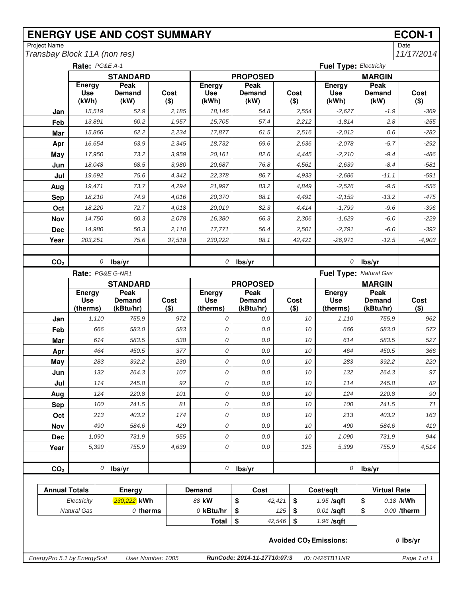# **ENERGY USE AND COST SUMMARY ECON-1**<br>
Project Name Date

Project Name Date *Transbay Block 11A (non res)* 

|                             | Rate: PG&E A-1                       |                        |                   |                                      | <b>Fuel Type: Electricity</b> |        |                 |                                          |                        |                 |  |  |
|-----------------------------|--------------------------------------|------------------------|-------------------|--------------------------------------|-------------------------------|--------|-----------------|------------------------------------------|------------------------|-----------------|--|--|
|                             |                                      | <b>STANDARD</b>        |                   |                                      | <b>PROPOSED</b>               |        |                 |                                          | <b>MARGIN</b>          |                 |  |  |
|                             | <b>Energy</b><br><b>Use</b><br>(kWh) | Peak<br>Demand<br>(kW) | Cost<br>$($ \$)   | <b>Energy</b><br><b>Use</b><br>(kWh) | Peak<br><b>Demand</b><br>(kW) |        | Cost<br>$($ \$) | Energy<br><b>Use</b><br>(kWh)            | Peak<br>Demand<br>(kW) | Cost<br>$($ \$) |  |  |
| Jan                         | 15,519                               | 52.9                   | 2,185             | 18,146                               | 54.8                          |        | 2,554           | $-2,627$                                 | $-1.9$                 | $-369$          |  |  |
| Feb                         | 13,891                               | 60.2                   | 1,957             | 15,705                               | 57.4                          |        | 2,212           | $-1,814$                                 | 2.8                    | $-255$          |  |  |
| Mar                         | 15,866                               | 62.2                   | 2,234             | 17,877                               | 61.5                          |        | 2,516           | $-2,012$                                 | 0.6                    | $-282$          |  |  |
| Apr                         | 16,654                               | 63.9                   | 2,345             | 18,732                               | 69.6                          |        | 2,636           | $-2,078$                                 | $-5.7$                 | $-292$          |  |  |
| May                         | 17,950                               | 73.2                   | 3,959             | 20,161                               | 82.6                          |        | 4,445           | $-2,210$                                 | $-9.4$                 | $-486$          |  |  |
| Jun                         | 18,048                               | 68.5                   | 3,980             | 20,687                               | 76.8                          |        | 4,561           | $-2,639$                                 | $-8.4$                 | $-581$          |  |  |
| Jul                         | 19,692                               | 75.6                   | 4,342             | 22,378                               | 86.7                          |        | 4,933           | $-2,686$                                 | $-11.1$                | $-591$          |  |  |
| Aug                         | 19,471                               | 73.7                   | 4,294             | 21,997                               | 83.2                          |        | 4,849           | $-2,526$                                 | $-9.5$                 | $-556$          |  |  |
| <b>Sep</b>                  | 18,210                               | 74.9                   | 4,016             | 20,370                               | 88.1                          |        | 4,491           | $-2,159$                                 | $-13.2$                | $-475$          |  |  |
| Oct                         | 18,220                               | 72.7                   | 4,018             | 20,019                               | 82.3                          |        | 4,414           | $-1,799$                                 | $-9.6$                 | $-396$          |  |  |
| Nov                         | 14,750                               | 60.3                   | 2,078             | 16,380                               | 66.3                          |        | 2,306           | $-1,629$                                 | $-6.0$                 | $-229$          |  |  |
| <b>Dec</b>                  | 14,980                               | 50.3                   | 2,110             | 17,771                               | 56.4                          |        | 2,501           | $-2,791$                                 | $-6.0$                 | $-392$          |  |  |
| Year                        | 203,251                              | 75.6                   | 37.518            | 230,222                              | 88.1                          |        | 42,421          | $-26,971$                                | $-12.5$                | $-4,903$        |  |  |
|                             |                                      |                        |                   |                                      |                               |        |                 |                                          |                        |                 |  |  |
| CO <sub>2</sub>             |                                      | 0<br>lbs/yr            |                   | 0                                    | lbs/yr                        |        |                 | 0                                        | lbs/yr                 |                 |  |  |
|                             |                                      | Rate: PG&E G-NR1       |                   |                                      |                               |        |                 | Fuel Type: Natural Gas                   |                        |                 |  |  |
|                             |                                      | <b>STANDARD</b>        |                   |                                      | <b>PROPOSED</b>               |        |                 |                                          | <b>MARGIN</b>          |                 |  |  |
|                             | <b>Energy</b><br><b>Use</b>          | Peak<br><b>Demand</b>  | Cost              | <b>Energy</b><br><b>Use</b>          | Peak<br><b>Demand</b>         |        | Cost            | Energy<br><b>Use</b>                     | Peak<br><b>Demand</b>  | Cost            |  |  |
|                             | (therms)                             | (kBtu/hr)              | $($ \$)           | (therms)                             | (kBtu/hr)                     |        | $($ \$)         | (therms)                                 | (kBtu/hr)              | $($ \$)         |  |  |
| Jan                         | 1,110                                | 755.9                  | 972               | 0                                    | 0.0                           |        | 10              | 1,110                                    | 755.9                  | 962             |  |  |
| Feb                         | 666                                  | 583.0                  | 583               | 0                                    | $0.0$                         |        | 10              | 666                                      | 583.0                  | 572             |  |  |
| Mar                         | 614                                  | 583.5                  | 538               | 0                                    | 0.0                           |        | 10              | 614                                      | 583.5                  | 527             |  |  |
| Apr                         | 464                                  | 450.5                  | 377               | 0                                    | $0.0$                         |        | 10              | 464                                      | 450.5                  | 366             |  |  |
| May                         | 283                                  | 392.2                  | 230               | 0                                    | 0.0                           |        | 10              | 283                                      | 392.2                  | 220             |  |  |
| Jun                         | 132                                  | 264.3                  | 107               | 0                                    | 0.0                           |        | 10              | 132                                      | 264.3                  | 97              |  |  |
| Jul                         | 114                                  | 245.8                  | 92                | 0                                    | $0.0$                         |        | 10              | 114                                      | 245.8                  | 82              |  |  |
| Aug                         | 124                                  | 220.8                  | 101               | 0                                    | 0.0                           |        | 10              | 124                                      | 220.8                  | 90              |  |  |
| <b>Sep</b>                  | 100                                  | 241.5                  | 81                | 0                                    | $0.0\,$                       |        | $10$            | 100                                      | 241.5                  | $71$            |  |  |
| Oct                         | 213                                  | 403.2                  | 174               | 0                                    | 0.0                           |        | 10              | 213                                      | 403.2                  | 163             |  |  |
| <b>Nov</b>                  | 490                                  | 584.6                  | 429               | 0                                    | 0.0                           |        | 10              | 490                                      | 584.6                  | 419             |  |  |
| <b>Dec</b>                  | 1,090                                | 731.9                  | 955               | 0                                    | $0.0\,$                       |        | 10              | 1,090                                    | 731.9                  | 944             |  |  |
| Year                        | 5,399                                | 755.9                  | 4,639             | 0                                    | $0.0$                         |        | 125             | 5,399                                    | 755.9                  | 4,514           |  |  |
|                             |                                      |                        |                   |                                      |                               |        |                 |                                          |                        |                 |  |  |
| CO <sub>2</sub>             |                                      | 0<br>lbs/yr            |                   | 0                                    | lbs/yr                        |        |                 | 0                                        | lbs/yr                 |                 |  |  |
| <b>Annual Totals</b>        |                                      | Energy                 |                   | <b>Demand</b>                        | Cost                          |        |                 | Cost/sqft                                | <b>Virtual Rate</b>    |                 |  |  |
|                             | Electricity                          | 230,222 kWh            |                   | 88 kW                                | \$                            | 42,421 | \$              | 1.95 /sqft                               | \$                     | 0.18 /kWh       |  |  |
|                             | <b>Natural Gas</b>                   | $0$ therms             |                   | $O$ kBtu/hr                          | \$                            | 125    | \$              | $0.01$ /sqft                             | \$                     | 0.00 /therm     |  |  |
|                             |                                      |                        |                   | <b>Total</b>                         | \$                            | 42,546 | \$              | 1.96 /sqft                               |                        |                 |  |  |
|                             |                                      |                        |                   |                                      |                               |        |                 | <b>Avoided CO<sub>2</sub> Emissions:</b> |                        | $o$ lbs/yr      |  |  |
| EnergyPro 5.1 by EnergySoft |                                      |                        | User Number: 1005 |                                      | RunCode: 2014-11-17T10:07:3   |        |                 | ID: 0426TB11NR                           |                        | Page 1 of 1     |  |  |
|                             |                                      |                        |                   |                                      |                               |        |                 |                                          |                        |                 |  |  |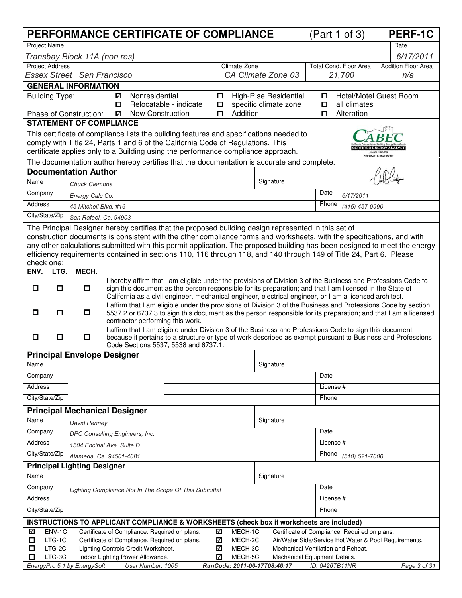|                                                                                                                                                                                 |                                |        | PERFORMANCE CERTIFICATE OF COMPLIANCE                                                                                                                                                                               |         |                    |                                                |             | (Part 1 of 3)                                 | <b>PERF-1C</b>                                        |
|---------------------------------------------------------------------------------------------------------------------------------------------------------------------------------|--------------------------------|--------|---------------------------------------------------------------------------------------------------------------------------------------------------------------------------------------------------------------------|---------|--------------------|------------------------------------------------|-------------|-----------------------------------------------|-------------------------------------------------------|
| <b>Project Name</b>                                                                                                                                                             |                                |        |                                                                                                                                                                                                                     |         |                    |                                                |             |                                               | Date                                                  |
| Transbay Block 11A (non res)                                                                                                                                                    |                                |        |                                                                                                                                                                                                                     |         |                    |                                                |             |                                               | 6/17/2011                                             |
| <b>Project Address</b>                                                                                                                                                          |                                |        |                                                                                                                                                                                                                     |         | Climate Zone       |                                                |             | <b>Total Cond. Floor Area</b>                 | <b>Addition Floor Area</b>                            |
| Essex Street San Francisco                                                                                                                                                      |                                |        |                                                                                                                                                                                                                     |         |                    | CA Climate Zone 03                             |             | 21,700                                        | n/a                                                   |
| <b>GENERAL INFORMATION</b>                                                                                                                                                      |                                |        |                                                                                                                                                                                                                     |         |                    |                                                |             |                                               |                                                       |
| <b>Building Type:</b>                                                                                                                                                           |                                | ☑<br>O | Nonresidential<br>Relocatable - indicate                                                                                                                                                                            | 0<br>О. |                    | High-Rise Residential<br>specific climate zone | $\Box$<br>о | all climates                                  | Hotel/Motel Guest Room                                |
| Phase of Construction:                                                                                                                                                          |                                | ✓      | <b>New Construction</b>                                                                                                                                                                                             | О       | Addition           |                                                | О           | Alteration                                    |                                                       |
| <b>STATEMENT OF COMPLIANCE</b>                                                                                                                                                  |                                |        |                                                                                                                                                                                                                     |         |                    |                                                |             |                                               |                                                       |
|                                                                                                                                                                                 |                                |        | This certificate of compliance lists the building features and specifications needed to                                                                                                                             |         |                    |                                                |             |                                               |                                                       |
|                                                                                                                                                                                 |                                |        | comply with Title 24, Parts 1 and 6 of the California Code of Regulations. This                                                                                                                                     |         |                    |                                                |             |                                               |                                                       |
| certificate applies only to a Building using the performance compliance approach.<br>The documentation author hereby certifies that the documentation is accurate and complete. |                                |        |                                                                                                                                                                                                                     |         |                    |                                                |             |                                               |                                                       |
| <b>Documentation Author</b>                                                                                                                                                     |                                |        |                                                                                                                                                                                                                     |         |                    |                                                |             |                                               |                                                       |
| Signature<br>Name<br><b>Chuck Clemons</b>                                                                                                                                       |                                |        |                                                                                                                                                                                                                     |         |                    |                                                |             |                                               |                                                       |
| Company                                                                                                                                                                         | Energy Calc Co.                |        |                                                                                                                                                                                                                     |         |                    |                                                | Date        | 6/17/2011                                     |                                                       |
| Address                                                                                                                                                                         | 45 Mitchell Blvd. #16          |        |                                                                                                                                                                                                                     |         |                    |                                                | Phone       | (415) 457-0990                                |                                                       |
| City/State/Zip                                                                                                                                                                  | San Rafael, Ca. 94903          |        |                                                                                                                                                                                                                     |         |                    |                                                |             |                                               |                                                       |
|                                                                                                                                                                                 |                                |        | The Principal Designer hereby certifies that the proposed building design represented in this set of                                                                                                                |         |                    |                                                |             |                                               |                                                       |
|                                                                                                                                                                                 |                                |        | construction documents is consistent with the other compliance forms and worksheets, with the specifications, and with                                                                                              |         |                    |                                                |             |                                               |                                                       |
|                                                                                                                                                                                 |                                |        | any other calculations submitted with this permit application. The proposed building has been designed to meet the energy                                                                                           |         |                    |                                                |             |                                               |                                                       |
| check one:                                                                                                                                                                      |                                |        | efficiency requirements contained in sections 110, 116 through 118, and 140 through 149 of Title 24, Part 6. Please                                                                                                 |         |                    |                                                |             |                                               |                                                       |
| ENV.<br>LTG.                                                                                                                                                                    | MECH.                          |        |                                                                                                                                                                                                                     |         |                    |                                                |             |                                               |                                                       |
|                                                                                                                                                                                 |                                |        | I hereby affirm that I am eligible under the provisions of Division 3 of the Business and Professions Code to                                                                                                       |         |                    |                                                |             |                                               |                                                       |
| □<br>О                                                                                                                                                                          | 0                              |        | sign this document as the person responsible for its preparation; and that I am licensed in the State of<br>California as a civil engineer, mechanical engineer, electrical engineer, or I am a licensed architect. |         |                    |                                                |             |                                               |                                                       |
|                                                                                                                                                                                 |                                |        | I affirm that I am eligible under the provisions of Division 3 of the Business and Professions Code by section                                                                                                      |         |                    |                                                |             |                                               |                                                       |
| О<br>О                                                                                                                                                                          | $\Box$                         |        | 5537.2 or 6737.3 to sign this document as the person responsible for its preparation; and that I am a licensed<br>contractor performing this work.                                                                  |         |                    |                                                |             |                                               |                                                       |
|                                                                                                                                                                                 |                                |        | I affirm that I am eligible under Division 3 of the Business and Professions Code to sign this document                                                                                                             |         |                    |                                                |             |                                               |                                                       |
| $\Box$<br>0                                                                                                                                                                     | 0.                             |        | because it pertains to a structure or type of work described as exempt pursuant to Business and Professions<br>Code Sections 5537, 5538 and 6737.1.                                                                 |         |                    |                                                |             |                                               |                                                       |
| <b>Principal Envelope Designer</b>                                                                                                                                              |                                |        |                                                                                                                                                                                                                     |         |                    |                                                |             |                                               |                                                       |
| Name                                                                                                                                                                            |                                |        |                                                                                                                                                                                                                     |         |                    | Signature                                      |             |                                               |                                                       |
| Company                                                                                                                                                                         |                                |        |                                                                                                                                                                                                                     |         |                    |                                                | Date        |                                               |                                                       |
| Address                                                                                                                                                                         |                                |        |                                                                                                                                                                                                                     |         |                    |                                                |             | License #                                     |                                                       |
| City/State/Zip                                                                                                                                                                  |                                |        |                                                                                                                                                                                                                     |         |                    |                                                | Phone       |                                               |                                                       |
| <b>Principal Mechanical Designer</b>                                                                                                                                            |                                |        |                                                                                                                                                                                                                     |         |                    |                                                |             |                                               |                                                       |
| Name                                                                                                                                                                            | <b>David Penney</b>            |        |                                                                                                                                                                                                                     |         |                    | Signature                                      |             |                                               |                                                       |
| Company                                                                                                                                                                         | DPC Consulting Engineers, Inc. |        |                                                                                                                                                                                                                     |         |                    |                                                | Date        |                                               |                                                       |
| Address                                                                                                                                                                         | 1504 Encinal Ave. Suite D      |        |                                                                                                                                                                                                                     |         |                    |                                                |             | License #                                     |                                                       |
| City/State/Zip                                                                                                                                                                  | Alameda, Ca. 94501-4081        |        |                                                                                                                                                                                                                     |         |                    |                                                | Phone       | (510) 521-7000                                |                                                       |
| <b>Principal Lighting Designer</b>                                                                                                                                              |                                |        |                                                                                                                                                                                                                     |         |                    |                                                |             |                                               |                                                       |
| Name                                                                                                                                                                            |                                |        |                                                                                                                                                                                                                     |         |                    | Signature                                      |             |                                               |                                                       |
| Company                                                                                                                                                                         |                                |        | Lighting Compliance Not In The Scope Of This Submittal                                                                                                                                                              |         |                    |                                                | Date        |                                               |                                                       |
| Address                                                                                                                                                                         |                                |        |                                                                                                                                                                                                                     |         |                    |                                                |             | License #                                     |                                                       |
| City/State/Zip                                                                                                                                                                  |                                |        |                                                                                                                                                                                                                     |         |                    |                                                | Phone       |                                               |                                                       |
|                                                                                                                                                                                 |                                |        | INSTRUCTIONS TO APPLICANT COMPLIANCE & WORKSHEETS (check box if worksheets are included)                                                                                                                            |         |                    |                                                |             |                                               |                                                       |
| ENV-1C<br>⊽                                                                                                                                                                     |                                |        | Certificate of Compliance. Required on plans.                                                                                                                                                                       | ✓       | MECH-1C            |                                                |             | Certificate of Compliance. Required on plans. |                                                       |
| LTG-1C<br>О<br>LTG-2C                                                                                                                                                           |                                |        | Certificate of Compliance. Required on plans.<br>Lighting Controls Credit Worksheet.                                                                                                                                | ✓<br>☑  | MECH-2C<br>MECH-3C |                                                |             | Mechanical Ventilation and Reheat.            | Air/Water Side/Service Hot Water & Pool Requirements. |
| ◻<br>LTG-3C<br>□                                                                                                                                                                |                                |        | Indoor Lighting Power Allowance.                                                                                                                                                                                    | ✓       | MECH-5C            | Mechanical Equipment Details.                  |             |                                               |                                                       |
| EnergyPro 5.1 by EnergySoft                                                                                                                                                     |                                |        | User Number: 1005                                                                                                                                                                                                   |         |                    | RunCode: 2011-06-17T08:46:17                   |             | ID: 0426TB11NR                                | Page 3 of 31                                          |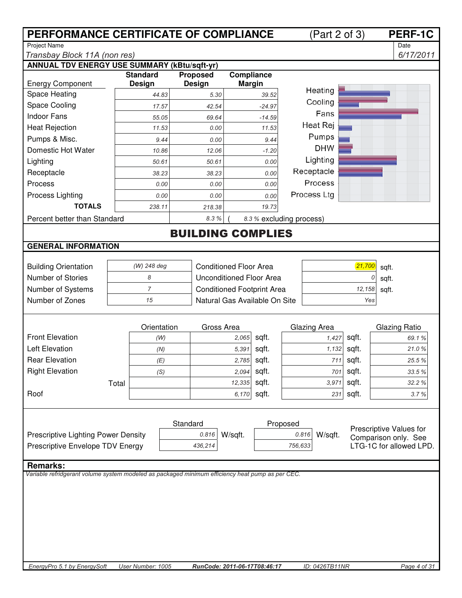| PERFORMANCE CERTIFICATE OF COMPLIANCE                                                            |                   |                   | <b>PERF-1C</b><br>(Part 2 of 3)   |                          |           |                         |
|--------------------------------------------------------------------------------------------------|-------------------|-------------------|-----------------------------------|--------------------------|-----------|-------------------------|
| <b>Project Name</b>                                                                              |                   |                   |                                   |                          |           | Date                    |
| Transbay Block 11A (non res)                                                                     |                   |                   |                                   |                          |           | 6/17/2011               |
| <b>ANNUAL TDV ENERGY USE SUMMARY (kBtu/sqft-yr)</b>                                              | <b>Standard</b>   | <b>Proposed</b>   | Compliance                        |                          |           |                         |
| <b>Energy Component</b>                                                                          | Design            | <b>Design</b>     | <b>Margin</b>                     |                          |           |                         |
| Space Heating                                                                                    | 44.83             | 5.30              | 39.52                             | Heating                  |           |                         |
| Space Cooling                                                                                    | 17.57             | 42.54             | $-24.97$                          | Cooling                  |           |                         |
| <b>Indoor Fans</b>                                                                               | 55.05             | 69.64<br>$-14.59$ |                                   |                          |           |                         |
| <b>Heat Rejection</b>                                                                            | 11.53             | 0.00              | 11.53                             | Heat Rej                 |           |                         |
| Pumps & Misc.                                                                                    | 9.44              | 0.00              | 9.44                              | Pumps                    |           |                         |
| Domestic Hot Water                                                                               | 10.86             | 12.06             | $-1.20$                           | <b>DHW</b>               |           |                         |
| Lighting                                                                                         | 50.61             | 50.61             | 0.00                              | Lighting                 |           |                         |
| Receptacle                                                                                       | 38.23             | 38.23             | 0.00                              | Receptacle               |           |                         |
| Process                                                                                          | 0.00              | 0.00              | 0.00                              | Process                  |           |                         |
| Process Lighting                                                                                 | 0.00              | 0.00              | 0.00                              | Process Ltg              |           |                         |
| <b>TOTALS</b>                                                                                    | 238.11            | 218.38            | 19.73                             |                          |           |                         |
| Percent better than Standard                                                                     |                   | 8.3%              |                                   | 8.3 % excluding process) |           |                         |
|                                                                                                  |                   |                   | <b>BUILDING COMPLIES</b>          |                          |           |                         |
| <b>GENERAL INFORMATION</b>                                                                       |                   |                   |                                   |                          |           |                         |
|                                                                                                  |                   |                   |                                   |                          |           |                         |
| <b>Building Orientation</b>                                                                      | (W) 248 deg       |                   | <b>Conditioned Floor Area</b>     |                          | 21,700    | sqft.                   |
| Number of Stories                                                                                | 8                 |                   | Unconditioned Floor Area          |                          |           | sqft.                   |
| Number of Systems                                                                                | $\overline{7}$    |                   | <b>Conditioned Footprint Area</b> |                          | 12,158    | sqft.                   |
| Number of Zones                                                                                  | 15                |                   | Natural Gas Available On Site     |                          | Yes       |                         |
|                                                                                                  |                   |                   |                                   |                          |           |                         |
|                                                                                                  | Orientation       | Gross Area        |                                   | Glazing Area             |           | <b>Glazing Ratio</b>    |
| <b>Front Elevation</b>                                                                           | (W)               |                   | sqft.<br>2,065                    | 1,427                    | sqft.     | 69.1%                   |
| <b>Left Elevation</b>                                                                            | (N)               |                   | sqft.<br>5,391                    | 1,132                    | sqft.     | 21.0%                   |
| <b>Rear Elevation</b>                                                                            | (E)               |                   | 2,785 sqft.                       |                          | 711 sqft. | 25.5 %                  |
| <b>Right Elevation</b>                                                                           | (S)               |                   | sqft.<br>2,094                    | 701                      | sqft.     | 33.5%                   |
|                                                                                                  | Total             |                   | sqft.<br>12,335                   | 3,971                    | sqft.     | 32.2%                   |
| Roof                                                                                             |                   |                   | sqft.<br>6,170                    | 231                      | sqft.     | 3.7%                    |
|                                                                                                  |                   |                   |                                   |                          |           |                         |
|                                                                                                  |                   |                   |                                   |                          |           |                         |
|                                                                                                  |                   | Standard          |                                   | Proposed                 |           | Prescriptive Values for |
| Prescriptive Lighting Power Density                                                              |                   | 0.816             | W/sqft.                           | 0.816<br>W/sqft.         |           | Comparison only. See    |
| Prescriptive Envelope TDV Energy                                                                 |                   | 436,214           |                                   | 756,633                  |           | LTG-1C for allowed LPD. |
| <b>Remarks:</b>                                                                                  |                   |                   |                                   |                          |           |                         |
| Variable refridgerant volume system modeled as packaged minimum efficiency heat pump as per CEC. |                   |                   |                                   |                          |           |                         |
|                                                                                                  |                   |                   |                                   |                          |           |                         |
|                                                                                                  |                   |                   |                                   |                          |           |                         |
|                                                                                                  |                   |                   |                                   |                          |           |                         |
|                                                                                                  |                   |                   |                                   |                          |           |                         |
|                                                                                                  |                   |                   |                                   |                          |           |                         |
|                                                                                                  |                   |                   |                                   |                          |           |                         |
|                                                                                                  |                   |                   |                                   |                          |           |                         |
| EnergyPro 5.1 by EnergySoft                                                                      | User Number: 1005 |                   | RunCode: 2011-06-17T08:46:17      | ID: 0426TB11NR           |           | Page 4 of 31            |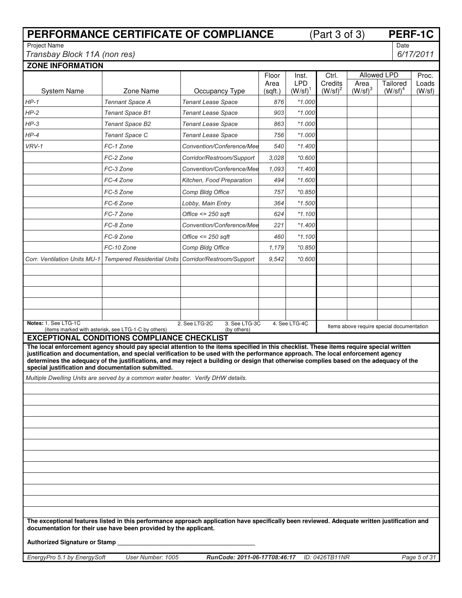|                                                         |                                                                                                           | PERFORMANCE CERTIFICATE OF COMPLIANCE                                                                                                                                                                                                                                       |                 |                                 | (Part 3 of 3)                |                           |                                           | PERF-1C         |
|---------------------------------------------------------|-----------------------------------------------------------------------------------------------------------|-----------------------------------------------------------------------------------------------------------------------------------------------------------------------------------------------------------------------------------------------------------------------------|-----------------|---------------------------------|------------------------------|---------------------------|-------------------------------------------|-----------------|
| <b>Project Name</b>                                     |                                                                                                           |                                                                                                                                                                                                                                                                             |                 |                                 |                              |                           | Date                                      |                 |
| Transbay Block 11A (non res)<br><b>ZONE INFORMATION</b> |                                                                                                           |                                                                                                                                                                                                                                                                             |                 |                                 |                              |                           |                                           | 6/17/2011       |
|                                                         |                                                                                                           |                                                                                                                                                                                                                                                                             | Floor           | Inst.                           | Ctrl.                        |                           | Allowed LPD                               | Proc.           |
| <b>System Name</b>                                      | Zone Name                                                                                                 | Occupancy Type                                                                                                                                                                                                                                                              | Area<br>(sqft.) | <b>LPD</b><br>$(W/\text{sf})^1$ | Credits<br>$(W/\text{sf})^2$ | Area<br>$(W/\text{sf})^3$ | Tailored<br>$(W/\text{sf})^4$             | Loads<br>(W/sf) |
| $HP-1$                                                  | <b>Tennant Space A</b>                                                                                    | <b>Tenant Lease Space</b>                                                                                                                                                                                                                                                   | 876             | $*1.000$                        |                              |                           |                                           |                 |
| $HP-2$                                                  | <b>Tenant Space B1</b>                                                                                    | <b>Tenant Lease Space</b>                                                                                                                                                                                                                                                   | 903             | $*1.000$                        |                              |                           |                                           |                 |
| $HP-3$                                                  | Tenant Space B2                                                                                           | <b>Tenant Lease Space</b>                                                                                                                                                                                                                                                   | 863             | $*1.000$                        |                              |                           |                                           |                 |
| $HP-4$                                                  | Tenant Space C                                                                                            | <b>Tenant Lease Space</b>                                                                                                                                                                                                                                                   | 756             | *1.000                          |                              |                           |                                           |                 |
| VRV-1                                                   | FC-1 Zone                                                                                                 | Convention/Conference/Mee                                                                                                                                                                                                                                                   | 540             | *1.400                          |                              |                           |                                           |                 |
|                                                         | FC-2 Zone                                                                                                 | Corridor/Restroom/Support                                                                                                                                                                                                                                                   | 3,028           | *0.600                          |                              |                           |                                           |                 |
|                                                         | FC-3 Zone                                                                                                 | Convention/Conference/Mee                                                                                                                                                                                                                                                   | 1,093           | *1.400                          |                              |                           |                                           |                 |
|                                                         | FC-4 Zone                                                                                                 | Kitchen, Food Preparation                                                                                                                                                                                                                                                   | 494             | $*1.600$                        |                              |                           |                                           |                 |
|                                                         | FC-5 Zone                                                                                                 | Comp Bldg Office                                                                                                                                                                                                                                                            | 757             | *0.850                          |                              |                           |                                           |                 |
|                                                         | FC-6 Zone                                                                                                 | Lobby, Main Entry                                                                                                                                                                                                                                                           | 364             | $*1.500$                        |                              |                           |                                           |                 |
|                                                         | FC-7 Zone                                                                                                 | Office $\leq$ 250 saft                                                                                                                                                                                                                                                      | 624             | $*1.100$                        |                              |                           |                                           |                 |
|                                                         | FC-8 Zone                                                                                                 | Convention/Conference/Mee                                                                                                                                                                                                                                                   | 221             | $*1.400$                        |                              |                           |                                           |                 |
|                                                         | FC-9 Zone                                                                                                 | Office $\leq$ 250 sqft                                                                                                                                                                                                                                                      | 460             | $*1.100$                        |                              |                           |                                           |                 |
|                                                         | FC-10 Zone                                                                                                | Comp Bldg Office                                                                                                                                                                                                                                                            | 1,179           | *0.850                          |                              |                           |                                           |                 |
| <b>Corr. Ventilation Units MU-1</b>                     | <b>Tempered Residential Units</b>                                                                         | Corridor/Restroom/Support                                                                                                                                                                                                                                                   | 9,542           | $*0.600$                        |                              |                           |                                           |                 |
|                                                         |                                                                                                           |                                                                                                                                                                                                                                                                             |                 |                                 |                              |                           |                                           |                 |
|                                                         |                                                                                                           |                                                                                                                                                                                                                                                                             |                 |                                 |                              |                           |                                           |                 |
|                                                         |                                                                                                           |                                                                                                                                                                                                                                                                             |                 |                                 |                              |                           |                                           |                 |
|                                                         |                                                                                                           |                                                                                                                                                                                                                                                                             |                 |                                 |                              |                           |                                           |                 |
|                                                         |                                                                                                           |                                                                                                                                                                                                                                                                             |                 |                                 |                              |                           |                                           |                 |
| Notes: 1. See LTG-1C                                    |                                                                                                           | 2. See LTG-2C<br>3. See LTG-3C                                                                                                                                                                                                                                              |                 | 4. See LTG-4C                   |                              |                           | Items above require special documentation |                 |
|                                                         | (items marked with asterisk, see LTG-1-C by others)<br><b>EXCEPTIONAL CONDITIONS COMPLIANCE CHECKLIST</b> | (by others)                                                                                                                                                                                                                                                                 |                 |                                 |                              |                           |                                           |                 |
|                                                         |                                                                                                           | The local enforcement agency should pay special attention to the items specified in this checklist. These items require special written                                                                                                                                     |                 |                                 |                              |                           |                                           |                 |
|                                                         |                                                                                                           | justification and documentation, and special verification to be used with the performance approach. The local enforcement agency<br>determines the adequacy of the justifications, and may reject a building or design that otherwise complies based on the adequacy of the |                 |                                 |                              |                           |                                           |                 |
| special justification and documentation submitted.      |                                                                                                           |                                                                                                                                                                                                                                                                             |                 |                                 |                              |                           |                                           |                 |
|                                                         | Multiple Dwelling Units are served by a common water heater. Verify DHW details.                          |                                                                                                                                                                                                                                                                             |                 |                                 |                              |                           |                                           |                 |
|                                                         |                                                                                                           |                                                                                                                                                                                                                                                                             |                 |                                 |                              |                           |                                           |                 |
|                                                         |                                                                                                           |                                                                                                                                                                                                                                                                             |                 |                                 |                              |                           |                                           |                 |
|                                                         |                                                                                                           |                                                                                                                                                                                                                                                                             |                 |                                 |                              |                           |                                           |                 |
|                                                         |                                                                                                           |                                                                                                                                                                                                                                                                             |                 |                                 |                              |                           |                                           |                 |
|                                                         |                                                                                                           |                                                                                                                                                                                                                                                                             |                 |                                 |                              |                           |                                           |                 |
|                                                         |                                                                                                           |                                                                                                                                                                                                                                                                             |                 |                                 |                              |                           |                                           |                 |
|                                                         |                                                                                                           |                                                                                                                                                                                                                                                                             |                 |                                 |                              |                           |                                           |                 |
|                                                         |                                                                                                           |                                                                                                                                                                                                                                                                             |                 |                                 |                              |                           |                                           |                 |
|                                                         |                                                                                                           |                                                                                                                                                                                                                                                                             |                 |                                 |                              |                           |                                           |                 |
|                                                         |                                                                                                           |                                                                                                                                                                                                                                                                             |                 |                                 |                              |                           |                                           |                 |
|                                                         |                                                                                                           |                                                                                                                                                                                                                                                                             |                 |                                 |                              |                           |                                           |                 |
|                                                         |                                                                                                           |                                                                                                                                                                                                                                                                             |                 |                                 |                              |                           |                                           |                 |
|                                                         | documentation for their use have been provided by the applicant.                                          | The exceptional features listed in this performance approach application have specifically been reviewed. Adequate written justification and                                                                                                                                |                 |                                 |                              |                           |                                           |                 |
|                                                         |                                                                                                           |                                                                                                                                                                                                                                                                             |                 |                                 |                              |                           |                                           |                 |
| Authorized Signature or Stamp                           |                                                                                                           |                                                                                                                                                                                                                                                                             |                 |                                 |                              |                           |                                           |                 |
| EnergyPro 5.1 by EnergySoft                             | User Number: 1005                                                                                         | RunCode: 2011-06-17T08:46:17                                                                                                                                                                                                                                                |                 |                                 | ID: 0426TB11NR               |                           |                                           | Page 5 of 31    |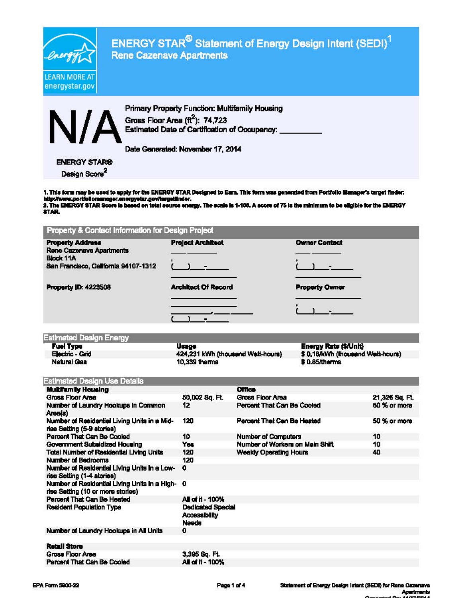

ENERGY STAR<sup>®</sup> Statement of Energy Design Intent (SEDI)<sup>1</sup><br>Rene Cazenave Apartments

Primary Property Function: Multifamily Housing<br>Gross Floor Area (ft<sup>2</sup>): 74,723<br>Estimated Date of Certification of Occupancy: Gross Floor Area  $(\text{ft}^2)$ : 74,723 Estimated Date of Certification of Occupancy:

Date Generated: November 17, 2014

| ENERGY STAR®              |  |
|---------------------------|--|
| Design Score <sup>2</sup> |  |

Design Score<br>1. This form may be used to apply for the ENERGY STAR Designed to Earn. This form was generated from Portfolio Manager's target finder:<br>http://www.portfoliomanager.energystar.gov/hargetlinder.<br>2. The ENERGY ST

**STAR** 

| <b>Project Architect</b>   | <b>Owner Contact</b>  |
|----------------------------|-----------------------|
|                            |                       |
|                            |                       |
| <b>Architect Of Record</b> | <b>Property Owner</b> |
|                            |                       |
|                            |                       |

| <b>Estimated Design Energy</b> |                                   |                                   |
|--------------------------------|-----------------------------------|-----------------------------------|
| <b>Fuel Type</b>               | Usage                             | <b>Energy Rate (\$/Unit)</b>      |
| Electric - Grid                | 424,231 kWh (thousand Walt-hours) | \$ 0.18/kWh (thousand Watt-hours) |
| Natural Gas                    | 10,339 thems                      | \$0.85/therms                     |

| <b>Estimated Design Use Details</b>                                                  |                                                           |                                 |                |
|--------------------------------------------------------------------------------------|-----------------------------------------------------------|---------------------------------|----------------|
| <b>Multifamily Housing</b>                                                           |                                                           | <b>Office</b>                   |                |
| Gross Floor Area                                                                     | 50,002 Sq. Ft.                                            | Gross Floor Area                | 21,326 Sq. Ft. |
| Number of Laundry Hookups in Common<br>Area(s)                                       | 12                                                        | Percent That Can Be Cooled      | 50 % or more   |
| Number of Residential Living Units in a Mid-<br>rise Setting (5-9 stories)           | 120                                                       | Percent That Can Be Heated      | 50 % or more   |
| Percent That Can Be Cooled                                                           | 10                                                        | <b>Number of Computers</b>      | 10             |
| Government Subsidized Housing                                                        | Yes                                                       | Number of Workers on Main Shift | 10             |
| Total Number of Residential Living Units                                             | 120                                                       | <b>Weekly Operating Hours</b>   | 40             |
| <b>Number of Badrooms</b>                                                            | 120                                                       |                                 |                |
| Number of Residential Living Units in a Low-<br>rise Setting (1-4 stories)           | 0                                                         |                                 |                |
| Number of Residential Living Units in a High- 0<br>rise Setting (10 or more stories) |                                                           |                                 |                |
| Percent That Can Be Heated                                                           | All of it - 100%                                          |                                 |                |
| <b>Resident Population Type</b>                                                      | <b>Dedicated Special</b><br><b>Accessibility</b><br>Needs |                                 |                |
| Number of Laundry Hookups in All Units                                               | $\mathbf{0}$                                              |                                 |                |
| <b>Ratall Store</b>                                                                  |                                                           |                                 |                |
| Gross Floor Area                                                                     | 3,395 Sq. Ft.                                             |                                 |                |
| Percent That Can Be Cooled                                                           | All of it - 100%                                          |                                 |                |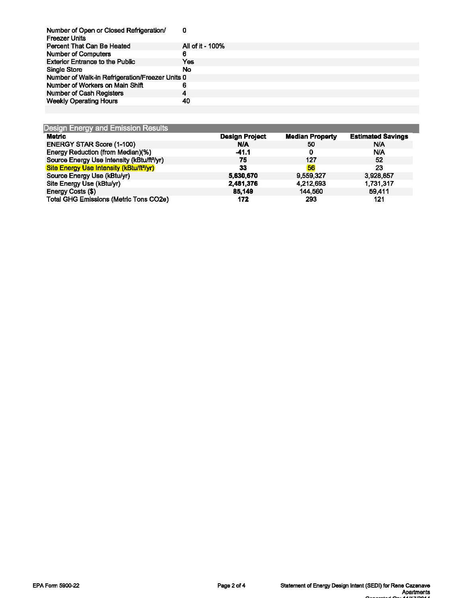| Number of Open or Closed Refrigeration/<br><b>Freezer Units</b> | 0                |
|-----------------------------------------------------------------|------------------|
| Percent That Can Be Heated                                      | All of it - 100% |
| <b>Number of Computers</b>                                      | 6                |
| <b>Exterior Entrance to the Public</b>                          | Yes              |
| <b>Single Store</b>                                             | No               |
| Number of Walk-in Refrigeration/Freezer Units 0                 |                  |
| Number of Workers on Main Shift                                 | 6                |
| Number of Cash Registers                                        | 4                |
| <b>Weekly Operating Hours</b>                                   | 40               |

| <b>Metric</b>                                          | <b>Design Project</b> | <b>Median Property</b> | <b>Estimated Savings</b> |
|--------------------------------------------------------|-----------------------|------------------------|--------------------------|
| <b>ENERGY STAR Score (1-100)</b>                       | <b>N/A</b>            | 50                     | N/A                      |
| Energy Reduction (from Median)(%)                      | $-41.1$               |                        | N/A                      |
| Source Energy Use Intensity (kBtu/ft <sup>2</sup> /yr) | 75                    | 127                    | 52                       |
| Site Energy Use Intensity (kBtu/ft <sup>2</sup> /yr)   | 33                    | 56                     | 23                       |
| Source Energy Use (kBtu/yr)                            | 5,630,670             | 9,559,327              | 3,928,657                |
| Site Energy Use (kBtu/yr)                              | 2,481,376             | 4,212,693              | 1,731,317                |
| Energy Costs (\$)                                      | 85,149                | 144,560                | 59,411                   |
| <b>Total GHG Emissions (Metric Tons CO2e)</b>          | 172                   | 293                    | 121                      |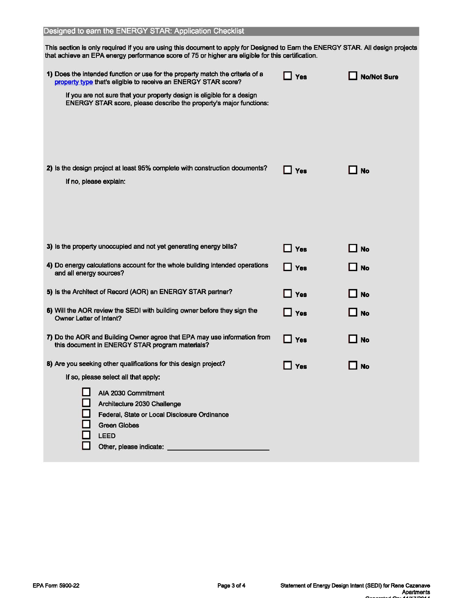This section is only required if you are using this document to apply for Designed to Earn the ENERGY STAR. All design projects that achieve an EPA energy performance score of 75 or higher are eligible for this certifteation.

| 1) Does the intended function or use for the property match the criteria of a<br>property type that's eligible to receive an ENERGY STAR score?<br>If you are not sure that your property design is eligible for a design<br>ENERGY STAR score, please describe the property's major functions: | <b>Yes</b>                   | <b>No/Not Sure</b> |
|-------------------------------------------------------------------------------------------------------------------------------------------------------------------------------------------------------------------------------------------------------------------------------------------------|------------------------------|--------------------|
| 2) is the design project at least 95% complete with construction documents?<br>If no, please explain:                                                                                                                                                                                           | Yes                          | l No               |
| 3) Is the property unoccupied and not yet generating energy bills?                                                                                                                                                                                                                              | $\Box$ Yes                   | <b>No</b>          |
| 4) Do energy calculations account for the whole building intended operations<br>and all energy sources?                                                                                                                                                                                         | $\Box$ Yes                   | l No               |
| 5) Is the Architect of Record (AOR) an ENERGY STAR partner?                                                                                                                                                                                                                                     | $\overline{\phantom{a}}$ Yes | <b>No</b>          |
| 6) Will the AOR review the SEDI with building owner before they sign the<br>Owner Letter of Intent?                                                                                                                                                                                             | $\Box$ Yes                   | <b>J</b> No        |
| 7) Do the AOR and Building Owner agree that EPA may use information from<br>this document in ENERGY STAR program materials?                                                                                                                                                                     | $\Box$ Yes                   | ∐ No               |
| 8) Are you seeking other qualifications for this design project?                                                                                                                                                                                                                                | <b>Yes</b>                   | l No               |
| If so, please select all that apply:<br>AIA 2030 Commitment<br>Architecture 2030 Challenge<br>Federal, State or Local Disclosure Ordinance<br><b>Green Globes</b><br><b>LEED</b><br>Other, please indicate:                                                                                     |                              |                    |